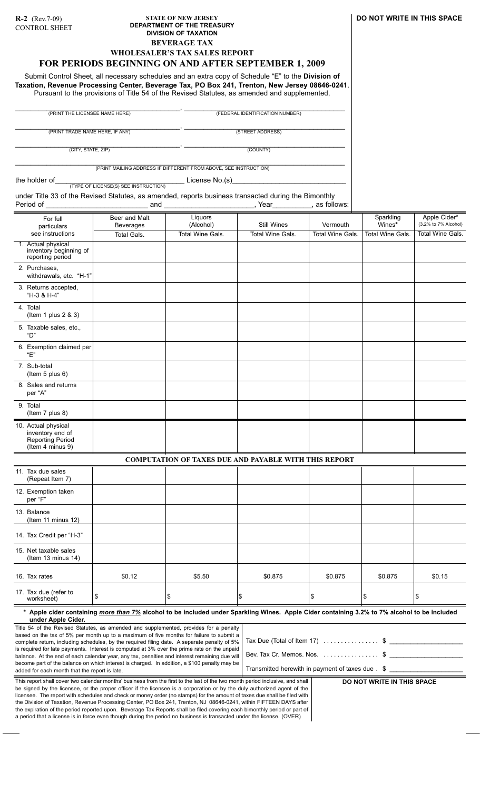## **STATE OF NEW JERSEY DEPARTMENT OF THE TREASURY DIVISION OF TAXATION BEVERAGE TAX WHOLESALER'S TAX SALES REPORT**

# **FOR PERIODS BEGINNING ON AND AFTER SEPTEMBER 1, 2009**

Submit Control Sheet, all necessary schedules and an extra copy of Schedule "E" to the **Division of Taxation, Revenue Processing Center, Beverage Tax, PO Box 241, Trenton, New Jersey 08646-0241**. Pursuant to the provisions of Title 54 of the Revised Statutes, as amended and supplemented,

\_\_\_\_\_\_\_\_\_\_\_\_\_\_\_\_\_\_\_\_\_\_\_\_\_\_\_\_\_\_\_\_\_\_\_\_\_\_\_\_\_\_, \_\_\_\_\_\_\_\_\_\_\_\_\_\_\_\_\_\_\_\_\_\_\_\_\_\_\_\_\_\_\_\_\_\_\_\_\_\_\_\_\_ (PRINT THE LICENSEE NAME HERE) (FEDERAL IDENTIFICATION NUMBER)

\_\_\_\_\_\_\_\_\_\_\_\_\_\_\_\_\_\_\_\_\_\_\_\_\_\_\_\_\_\_\_\_\_\_\_\_\_\_\_\_\_\_, \_\_\_\_\_\_\_\_\_\_\_\_\_\_\_\_\_\_\_\_\_\_\_\_\_\_\_\_\_\_\_\_\_\_\_\_\_\_\_\_\_ (PRINT TRADE NAME HERE, IF ANY) (STREET ADDRESS)

(CITY, STATE, ZIP) (COUNTY)

\_\_\_\_\_\_\_\_\_\_\_\_\_\_\_\_\_\_\_\_\_\_\_\_\_\_\_\_\_\_\_\_\_\_\_\_\_\_\_\_\_\_, \_\_\_\_\_\_\_\_\_\_\_\_\_\_\_\_\_\_\_\_\_\_\_\_\_\_\_\_\_\_\_\_\_\_\_\_\_\_\_\_\_

\_\_\_\_\_\_\_\_\_\_\_\_\_\_\_\_\_\_\_\_\_\_\_\_\_\_\_\_\_\_\_\_\_\_\_\_\_\_\_\_\_\_\_\_\_\_\_\_\_\_\_\_\_\_\_\_\_\_\_\_\_\_\_\_\_\_\_\_\_\_\_\_\_\_\_\_\_\_\_\_\_\_\_\_ (PRINT MAILING ADDRESS IF DIFFERENT FROM ABOVE, SEE INSTRUCTION)

the holder of\_\_\_\_\_\_\_\_\_\_\_\_\_\_\_\_\_\_\_\_\_\_\_\_\_\_\_\_\_\_\_\_\_ License No.(s)\_\_\_\_\_\_\_\_\_\_\_\_\_\_\_\_\_\_\_\_\_\_\_\_\_\_\_\_\_ (TYPE OF LICENSE(S) SEE INSTRUCTION)

under Title 33 of the Revised Statutes, as amended, reports business transacted during the Bimonthly

| Period of                                                                                                                                                                                                                                                                                                                                                                                                                                                                                                                                                                                                                        | and                                                                                                                                                 |                                                              | Year                    | as follows:                                                                                                                                                 |                     |                                      |  |  |
|----------------------------------------------------------------------------------------------------------------------------------------------------------------------------------------------------------------------------------------------------------------------------------------------------------------------------------------------------------------------------------------------------------------------------------------------------------------------------------------------------------------------------------------------------------------------------------------------------------------------------------|-----------------------------------------------------------------------------------------------------------------------------------------------------|--------------------------------------------------------------|-------------------------|-------------------------------------------------------------------------------------------------------------------------------------------------------------|---------------------|--------------------------------------|--|--|
| For full<br>particulars                                                                                                                                                                                                                                                                                                                                                                                                                                                                                                                                                                                                          | Beer and Malt<br><b>Beverages</b>                                                                                                                   | Liquors<br>(Alcohol)                                         | Still Wines             | Vermouth                                                                                                                                                    | Sparkling<br>Wines* | Apple Cider*<br>(3.2% to 7% Alcohol) |  |  |
| see instructions<br>1. Actual physical<br>inventory beginning of<br>reporting period                                                                                                                                                                                                                                                                                                                                                                                                                                                                                                                                             | <b>Total Gals.</b>                                                                                                                                  | Total Wine Gals.                                             | <b>Total Wine Gals.</b> | <b>Total Wine Gals.</b>                                                                                                                                     | Total Wine Gals.    | <b>Total Wine Gals.</b>              |  |  |
| 2. Purchases,<br>withdrawals, etc. "H-1"                                                                                                                                                                                                                                                                                                                                                                                                                                                                                                                                                                                         |                                                                                                                                                     |                                                              |                         |                                                                                                                                                             |                     |                                      |  |  |
| 3. Returns accepted,<br>"H-3 & H-4"                                                                                                                                                                                                                                                                                                                                                                                                                                                                                                                                                                                              |                                                                                                                                                     |                                                              |                         |                                                                                                                                                             |                     |                                      |  |  |
| 4. Total<br>(Item 1 plus $2 & 3$ )                                                                                                                                                                                                                                                                                                                                                                                                                                                                                                                                                                                               |                                                                                                                                                     |                                                              |                         |                                                                                                                                                             |                     |                                      |  |  |
| 5. Taxable sales, etc.,<br>"D"                                                                                                                                                                                                                                                                                                                                                                                                                                                                                                                                                                                                   |                                                                                                                                                     |                                                              |                         |                                                                                                                                                             |                     |                                      |  |  |
| 6. Exemption claimed per<br>"E"                                                                                                                                                                                                                                                                                                                                                                                                                                                                                                                                                                                                  |                                                                                                                                                     |                                                              |                         |                                                                                                                                                             |                     |                                      |  |  |
| 7. Sub-total<br>(Item $5$ plus $6$ )                                                                                                                                                                                                                                                                                                                                                                                                                                                                                                                                                                                             |                                                                                                                                                     |                                                              |                         |                                                                                                                                                             |                     |                                      |  |  |
| 8. Sales and returns<br>per "A"                                                                                                                                                                                                                                                                                                                                                                                                                                                                                                                                                                                                  |                                                                                                                                                     |                                                              |                         |                                                                                                                                                             |                     |                                      |  |  |
| 9. Total<br>(Item 7 plus 8)                                                                                                                                                                                                                                                                                                                                                                                                                                                                                                                                                                                                      |                                                                                                                                                     |                                                              |                         |                                                                                                                                                             |                     |                                      |  |  |
| 10. Actual physical<br>inventory end of<br><b>Reporting Period</b><br>(Item 4 minus 9)                                                                                                                                                                                                                                                                                                                                                                                                                                                                                                                                           |                                                                                                                                                     |                                                              |                         |                                                                                                                                                             |                     |                                      |  |  |
|                                                                                                                                                                                                                                                                                                                                                                                                                                                                                                                                                                                                                                  |                                                                                                                                                     | <b>COMPUTATION OF TAXES DUE AND PAYABLE WITH THIS REPORT</b> |                         |                                                                                                                                                             |                     |                                      |  |  |
| 11. Tax due sales<br>(Repeat Item 7)                                                                                                                                                                                                                                                                                                                                                                                                                                                                                                                                                                                             |                                                                                                                                                     |                                                              |                         |                                                                                                                                                             |                     |                                      |  |  |
| 12. Exemption taken<br>per "F"                                                                                                                                                                                                                                                                                                                                                                                                                                                                                                                                                                                                   |                                                                                                                                                     |                                                              |                         |                                                                                                                                                             |                     |                                      |  |  |
| 13. Balance<br>(Item 11 minus 12)                                                                                                                                                                                                                                                                                                                                                                                                                                                                                                                                                                                                |                                                                                                                                                     |                                                              |                         |                                                                                                                                                             |                     |                                      |  |  |
| 14. Tax Credit per "H-3"                                                                                                                                                                                                                                                                                                                                                                                                                                                                                                                                                                                                         |                                                                                                                                                     |                                                              |                         |                                                                                                                                                             |                     |                                      |  |  |
| 15. Net taxable sales<br>(Item 13 minus 14)                                                                                                                                                                                                                                                                                                                                                                                                                                                                                                                                                                                      |                                                                                                                                                     |                                                              |                         |                                                                                                                                                             |                     |                                      |  |  |
| 16. Tax rates                                                                                                                                                                                                                                                                                                                                                                                                                                                                                                                                                                                                                    | \$0.12                                                                                                                                              | \$5.50                                                       | \$0.875                 | \$0.875                                                                                                                                                     | \$0.875             | \$0.15                               |  |  |
| 17. Tax due (refer to<br>worksheet)                                                                                                                                                                                                                                                                                                                                                                                                                                                                                                                                                                                              | \$                                                                                                                                                  | \$                                                           | \$                      | 5                                                                                                                                                           | \$                  | Ι\$                                  |  |  |
| under Apple Cider.                                                                                                                                                                                                                                                                                                                                                                                                                                                                                                                                                                                                               | * Apple cider containing <i>more than 7%</i> alcohol to be included under Sparkling Wines. Apple Cider containing 3.2% to 7% alcohol to be included |                                                              |                         |                                                                                                                                                             |                     |                                      |  |  |
| Title 54 of the Revised Statutes, as amended and supplemented, provides for a penalty<br>based on the tax of 5% per month up to a maximum of five months for failure to submit a<br>complete return, including schedules, by the required filing date. A separate penalty of 5%<br>is required for late payments. Interest is computed at 3% over the prime rate on the unpaid<br>balance. At the end of each calendar year, any tax, penalties and interest remaining due will<br>become part of the balance on which interest is charged. In addition, a \$100 penalty may be<br>added for each month that the report is late. |                                                                                                                                                     |                                                              |                         | Tax Due (Total of Item 17) $\ldots$ $\ldots$ $\ldots$ $\ddot{\text{s}}$<br>Bev. Tax Cr. Memos. Nos. \$<br>Transmitted herewith in payment of taxes due . \$ |                     |                                      |  |  |

| This report shall cover two calendar months' business from the first to the last of the two month period inclusive, and shall |
|-------------------------------------------------------------------------------------------------------------------------------|
| be signed by the licensee, or the proper officer if the licensee is a corporation or by the duly authorized agent of the      |
| licensee. The report with schedules and check or money order (no stamps) for the amount of taxes due shall be filed with      |
| the Division of Taxation, Revenue Processing Center, PO Box 241, Trenton, NJ 08646-0241, within FIFTEEN DAYS after            |
| the expiration of the period reported upon. Beverage Tax Reports shall be filed covering each bimonthly period or part of     |
| a period that a license is in force even though during the period no business is transacted under the license. (OVER)         |
|                                                                                                                               |

added for each month that the report is late.

**DO NOT WRITE IN THIS SPACE**